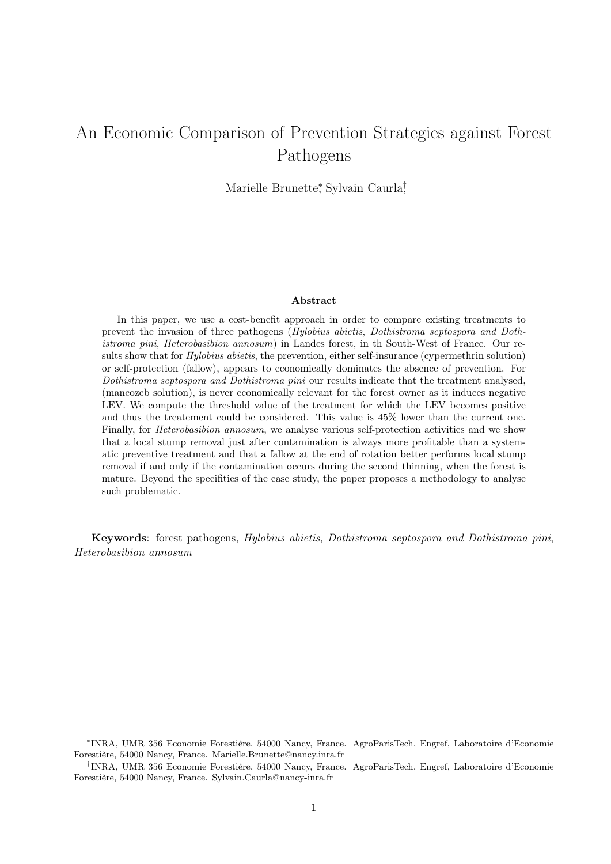# An Economic Comparison of Prevention Strategies against Forest Pathogens

Marielle Brunette<sup>∗</sup> , Sylvain Caurla† ,

#### Abstract

In this paper, we use a cost-benefit approach in order to compare existing treatments to prevent the invasion of three pathogens (Hylobius abietis, Dothistroma septospora and Dothistroma pini, Heterobasibion annosum) in Landes forest, in th South-West of France. Our results show that for *Hylobius abietis*, the prevention, either self-insurance (cypermethrin solution) or self-protection (fallow), appears to economically dominates the absence of prevention. For Dothistroma septospora and Dothistroma pini our results indicate that the treatment analysed, (mancozeb solution), is never economically relevant for the forest owner as it induces negative LEV. We compute the threshold value of the treatment for which the LEV becomes positive and thus the treatement could be considered. This value is 45% lower than the current one. Finally, for *Heterobasibion annosum*, we analyse various self-protection activities and we show that a local stump removal just after contamination is always more profitable than a systematic preventive treatment and that a fallow at the end of rotation better performs local stump removal if and only if the contamination occurs during the second thinning, when the forest is mature. Beyond the specifities of the case study, the paper proposes a methodology to analyse such problematic.

Keywords: forest pathogens, Hylobius abietis, Dothistroma septospora and Dothistroma pini, Heterobasibion annosum

<sup>∗</sup> INRA, UMR 356 Economie Forestière, 54000 Nancy, France. AgroParisTech, Engref, Laboratoire d'Economie Forestière, 54000 Nancy, France. Marielle.Brunette@nancy.inra.fr

<sup>†</sup> INRA, UMR 356 Economie Forestière, 54000 Nancy, France. AgroParisTech, Engref, Laboratoire d'Economie Forestière, 54000 Nancy, France. Sylvain.Caurla@nancy-inra.fr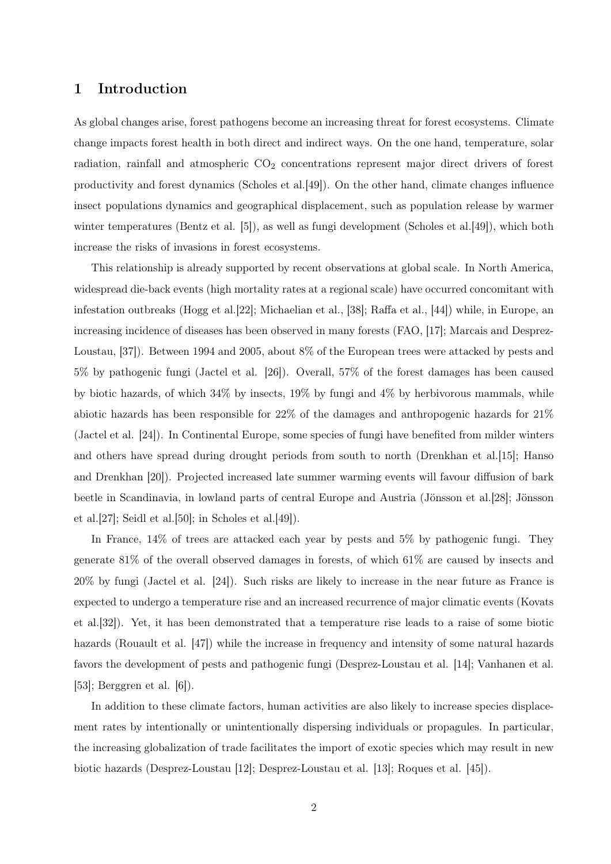# 1 Introduction

As global changes arise, forest pathogens become an increasing threat for forest ecosystems. Climate change impacts forest health in both direct and indirect ways. On the one hand, temperature, solar radiation, rainfall and atmospheric CO<sub>2</sub> concentrations represent major direct drivers of forest productivity and forest dynamics (Scholes et al.[49]). On the other hand, climate changes influence insect populations dynamics and geographical displacement, such as population release by warmer winter temperatures (Bentz et al. [5]), as well as fungi development (Scholes et al. [49]), which both increase the risks of invasions in forest ecosystems.

This relationship is already supported by recent observations at global scale. In North America, widespread die-back events (high mortality rates at a regional scale) have occurred concomitant with infestation outbreaks (Hogg et al.[22]; Michaelian et al., [38]; Raffa et al., [44]) while, in Europe, an increasing incidence of diseases has been observed in many forests (FAO, [17]; Marcais and Desprez-Loustau, [37]). Between 1994 and 2005, about 8% of the European trees were attacked by pests and 5% by pathogenic fungi (Jactel et al. [26]). Overall, 57% of the forest damages has been caused by biotic hazards, of which 34% by insects, 19% by fungi and 4% by herbivorous mammals, while abiotic hazards has been responsible for 22% of the damages and anthropogenic hazards for 21% (Jactel et al. [24]). In Continental Europe, some species of fungi have benefited from milder winters and others have spread during drought periods from south to north (Drenkhan et al. [15]; Hanso and Drenkhan [20]). Projected increased late summer warming events will favour diffusion of bark beetle in Scandinavia, in lowland parts of central Europe and Austria (Jönsson et al.[28]; Jönsson et al. $[27]$ ; Seidl et al. $[50]$ ; in Scholes et al. $[49]$ ).

In France, 14% of trees are attacked each year by pests and 5% by pathogenic fungi. They generate 81% of the overall observed damages in forests, of which 61% are caused by insects and 20% by fungi (Jactel et al. [24]). Such risks are likely to increase in the near future as France is expected to undergo a temperature rise and an increased recurrence of major climatic events (Kovats et al.[32]). Yet, it has been demonstrated that a temperature rise leads to a raise of some biotic hazards (Rouault et al. [47]) while the increase in frequency and intensity of some natural hazards favors the development of pests and pathogenic fungi (Desprez-Loustau et al. [14]; Vanhanen et al. [53]; Berggren et al. [6]).

In addition to these climate factors, human activities are also likely to increase species displacement rates by intentionally or unintentionally dispersing individuals or propagules. In particular, the increasing globalization of trade facilitates the import of exotic species which may result in new biotic hazards (Desprez-Loustau [12]; Desprez-Loustau et al. [13]; Roques et al. [45]).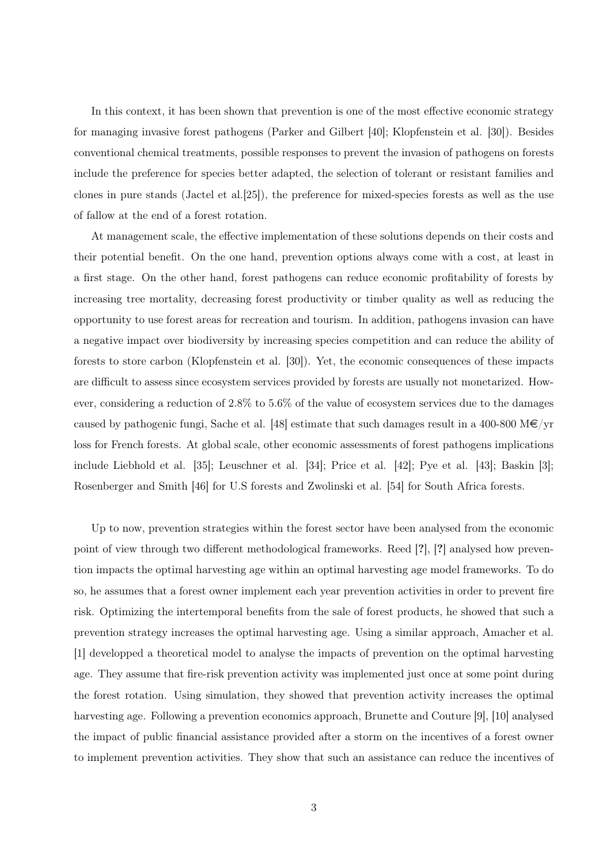In this context, it has been shown that prevention is one of the most effective economic strategy for managing invasive forest pathogens (Parker and Gilbert [40]; Klopfenstein et al. [30]). Besides conventional chemical treatments, possible responses to prevent the invasion of pathogens on forests include the preference for species better adapted, the selection of tolerant or resistant families and clones in pure stands (Jactel et al.[25]), the preference for mixed-species forests as well as the use of fallow at the end of a forest rotation.

At management scale, the effective implementation of these solutions depends on their costs and their potential benefit. On the one hand, prevention options always come with a cost, at least in a first stage. On the other hand, forest pathogens can reduce economic profitability of forests by increasing tree mortality, decreasing forest productivity or timber quality as well as reducing the opportunity to use forest areas for recreation and tourism. In addition, pathogens invasion can have a negative impact over biodiversity by increasing species competition and can reduce the ability of forests to store carbon (Klopfenstein et al. [30]). Yet, the economic consequences of these impacts are difficult to assess since ecosystem services provided by forests are usually not monetarized. However, considering a reduction of 2.8% to 5.6% of the value of ecosystem services due to the damages caused by pathogenic fungi, Sache et al. [48] estimate that such damages result in a 400-800 M $\epsilon$ /yr loss for French forests. At global scale, other economic assessments of forest pathogens implications include Liebhold et al. [35]; Leuschner et al. [34]; Price et al. [42]; Pye et al. [43]; Baskin [3]; Rosenberger and Smith [46] for U.S forests and Zwolinski et al. [54] for South Africa forests.

Up to now, prevention strategies within the forest sector have been analysed from the economic point of view through two different methodological frameworks. Reed [?], [?] analysed how prevention impacts the optimal harvesting age within an optimal harvesting age model frameworks. To do so, he assumes that a forest owner implement each year prevention activities in order to prevent fire risk. Optimizing the intertemporal benefits from the sale of forest products, he showed that such a prevention strategy increases the optimal harvesting age. Using a similar approach, Amacher et al. [1] developped a theoretical model to analyse the impacts of prevention on the optimal harvesting age. They assume that fire-risk prevention activity was implemented just once at some point during the forest rotation. Using simulation, they showed that prevention activity increases the optimal harvesting age. Following a prevention economics approach, Brunette and Couture [9], [10] analysed the impact of public financial assistance provided after a storm on the incentives of a forest owner to implement prevention activities. They show that such an assistance can reduce the incentives of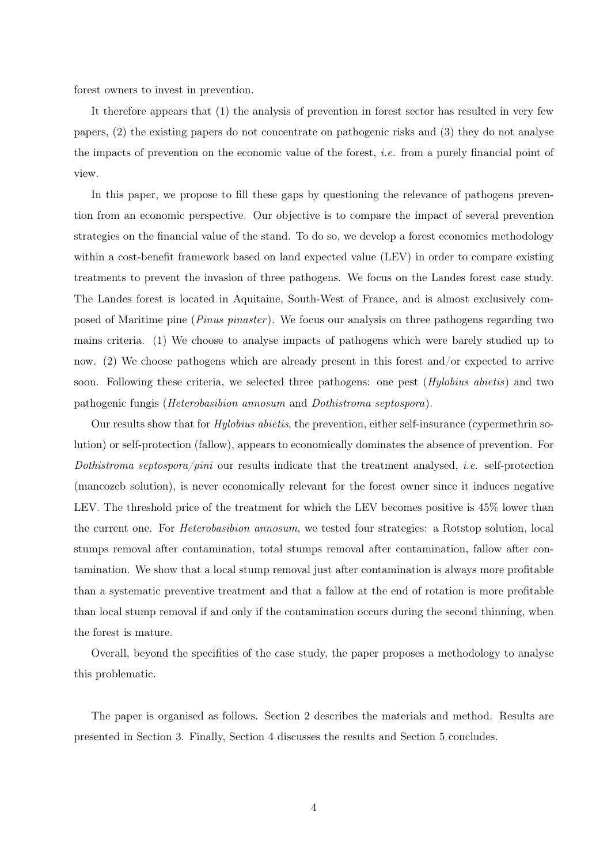forest owners to invest in prevention.

It therefore appears that (1) the analysis of prevention in forest sector has resulted in very few papers, (2) the existing papers do not concentrate on pathogenic risks and (3) they do not analyse the impacts of prevention on the economic value of the forest, i.e. from a purely financial point of view.

In this paper, we propose to fill these gaps by questioning the relevance of pathogens prevention from an economic perspective. Our objective is to compare the impact of several prevention strategies on the financial value of the stand. To do so, we develop a forest economics methodology within a cost-benefit framework based on land expected value (LEV) in order to compare existing treatments to prevent the invasion of three pathogens. We focus on the Landes forest case study. The Landes forest is located in Aquitaine, South-West of France, and is almost exclusively composed of Maritime pine (*Pinus pinaster*). We focus our analysis on three pathogens regarding two mains criteria. (1) We choose to analyse impacts of pathogens which were barely studied up to now. (2) We choose pathogens which are already present in this forest and/or expected to arrive soon. Following these criteria, we selected three pathogens: one pest (*Hylobius abietis*) and two pathogenic fungis (Heterobasibion annosum and Dothistroma septospora).

Our results show that for Hylobius abietis, the prevention, either self-insurance (cypermethrin solution) or self-protection (fallow), appears to economically dominates the absence of prevention. For Dothistroma septospora/pini our results indicate that the treatment analysed, *i.e.* self-protection (mancozeb solution), is never economically relevant for the forest owner since it induces negative LEV. The threshold price of the treatment for which the LEV becomes positive is 45% lower than the current one. For Heterobasibion annosum, we tested four strategies: a Rotstop solution, local stumps removal after contamination, total stumps removal after contamination, fallow after contamination. We show that a local stump removal just after contamination is always more profitable than a systematic preventive treatment and that a fallow at the end of rotation is more profitable than local stump removal if and only if the contamination occurs during the second thinning, when the forest is mature.

Overall, beyond the specifities of the case study, the paper proposes a methodology to analyse this problematic.

The paper is organised as follows. Section 2 describes the materials and method. Results are presented in Section 3. Finally, Section 4 discusses the results and Section 5 concludes.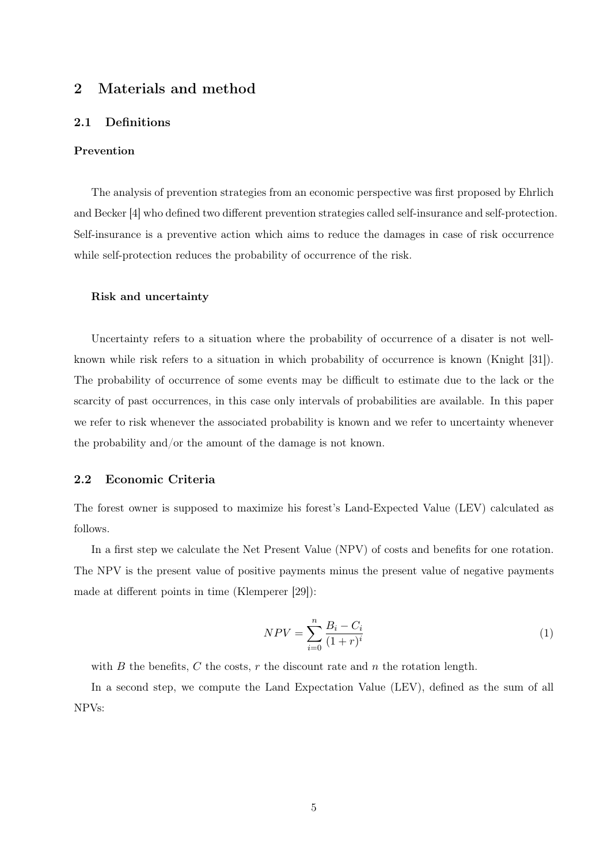# 2 Materials and method

#### 2.1 Definitions

#### Prevention

The analysis of prevention strategies from an economic perspective was first proposed by Ehrlich and Becker [4] who defined two different prevention strategies called self-insurance and self-protection. Self-insurance is a preventive action which aims to reduce the damages in case of risk occurrence while self-protection reduces the probability of occurrence of the risk.

#### Risk and uncertainty

Uncertainty refers to a situation where the probability of occurrence of a disater is not wellknown while risk refers to a situation in which probability of occurrence is known (Knight [31]). The probability of occurrence of some events may be difficult to estimate due to the lack or the scarcity of past occurrences, in this case only intervals of probabilities are available. In this paper we refer to risk whenever the associated probability is known and we refer to uncertainty whenever the probability and/or the amount of the damage is not known.

#### 2.2 Economic Criteria

The forest owner is supposed to maximize his forest's Land-Expected Value (LEV) calculated as follows.

In a first step we calculate the Net Present Value (NPV) of costs and benefits for one rotation. The NPV is the present value of positive payments minus the present value of negative payments made at different points in time (Klemperer [29]):

$$
NPV = \sum_{i=0}^{n} \frac{B_i - C_i}{(1+r)^i}
$$
 (1)

with B the benefits, C the costs,  $r$  the discount rate and  $n$  the rotation length.

In a second step, we compute the Land Expectation Value (LEV), defined as the sum of all NPVs: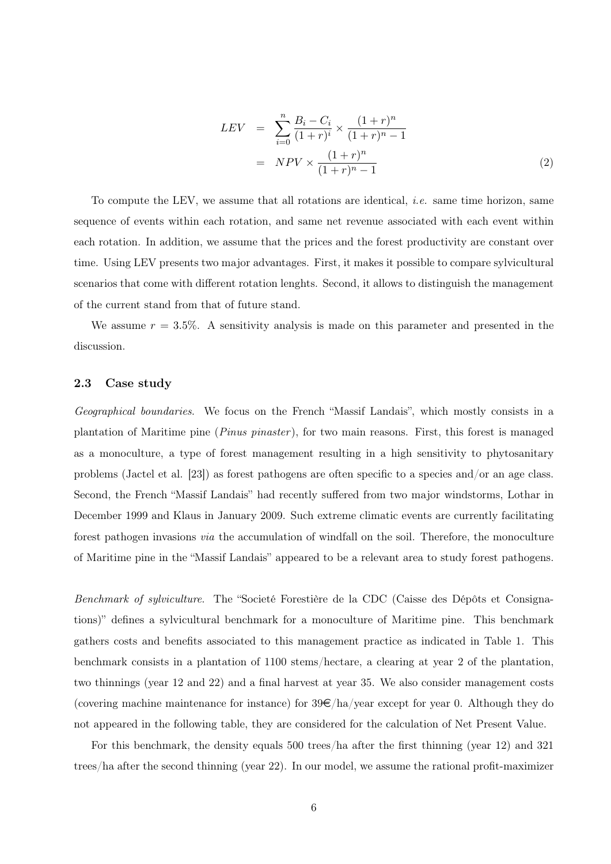$$
LEV = \sum_{i=0}^{n} \frac{B_i - C_i}{(1+r)^i} \times \frac{(1+r)^n}{(1+r)^{n} - 1}
$$
  
= 
$$
NPV \times \frac{(1+r)^n}{(1+r)^{n} - 1}
$$
 (2)

To compute the LEV, we assume that all rotations are identical, i.e. same time horizon, same sequence of events within each rotation, and same net revenue associated with each event within each rotation. In addition, we assume that the prices and the forest productivity are constant over time. Using LEV presents two major advantages. First, it makes it possible to compare sylvicultural scenarios that come with different rotation lenghts. Second, it allows to distinguish the management of the current stand from that of future stand.

We assume  $r = 3.5\%$ . A sensitivity analysis is made on this parameter and presented in the discussion.

#### 2.3 Case study

Geographical boundaries. We focus on the French "Massif Landais", which mostly consists in a plantation of Maritime pine (*Pinus pinaster*), for two main reasons. First, this forest is managed as a monoculture, a type of forest management resulting in a high sensitivity to phytosanitary problems (Jactel et al. [23]) as forest pathogens are often specific to a species and/or an age class. Second, the French "Massif Landais" had recently suffered from two major windstorms, Lothar in December 1999 and Klaus in January 2009. Such extreme climatic events are currently facilitating forest pathogen invasions via the accumulation of windfall on the soil. Therefore, the monoculture of Maritime pine in the "Massif Landais" appeared to be a relevant area to study forest pathogens.

Benchmark of sylviculture. The "Societé Forestière de la CDC (Caisse des Dépôts et Consignations)" defines a sylvicultural benchmark for a monoculture of Maritime pine. This benchmark gathers costs and benefits associated to this management practice as indicated in Table 1. This benchmark consists in a plantation of 1100 stems/hectare, a clearing at year 2 of the plantation, two thinnings (year 12 and 22) and a final harvest at year 35. We also consider management costs (covering machine maintenance for instance) for  $39\epsilon/ha$ /year except for year 0. Although they do not appeared in the following table, they are considered for the calculation of Net Present Value.

For this benchmark, the density equals 500 trees/ha after the first thinning (year 12) and 321 trees/ha after the second thinning (year 22). In our model, we assume the rational profit-maximizer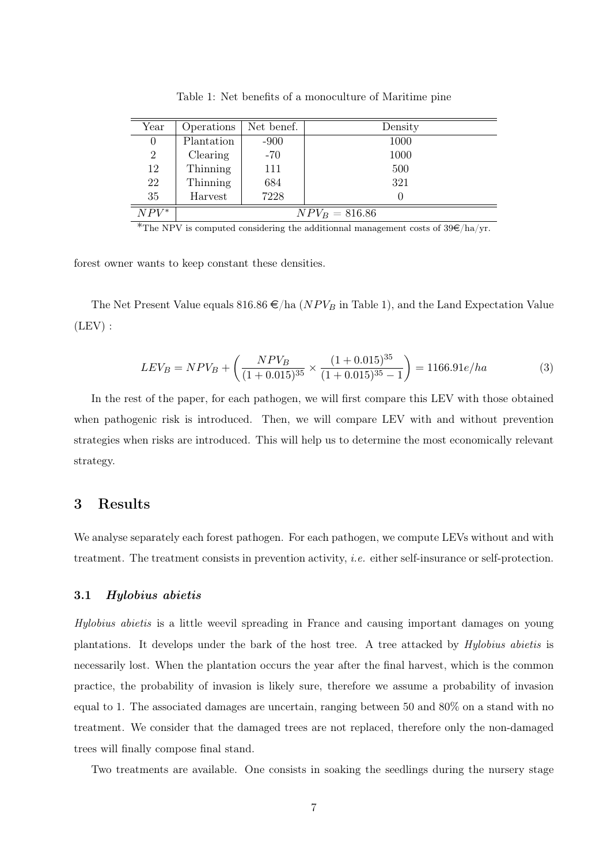| Year           | Operations       | Net benef. | Density |  |  |
|----------------|------------------|------------|---------|--|--|
| $\theta$       | Plantation       | $-900$     | 1000    |  |  |
| $\overline{2}$ | Clearing         | $-70$      | 1000    |  |  |
| 12             | Thinning         | 111        | 500     |  |  |
| 22             | Thinning         | 684        | 321     |  |  |
| 35             | Harvest          | 7228       |         |  |  |
| $NPV^*$        | $NPV_B = 816.86$ |            |         |  |  |

Table 1: Net benefits of a monoculture of Maritime pine

\*The NPV is computed considering the additionnal management costs of  $39 \in /ha/yr$ .

forest owner wants to keep constant these densities.

The Net Present Value equals 816.86  $\epsilon$ /ha (*NPV<sub>B</sub>* in Table 1), and the Land Expectation Value  $(LEV)$ :

$$
LEV_B = NPV_B + \left(\frac{NPV_B}{(1+0.015)^{35}} \times \frac{(1+0.015)^{35}}{(1+0.015)^{35}-1}\right) = 1166.91e/ha
$$
 (3)

In the rest of the paper, for each pathogen, we will first compare this LEV with those obtained when pathogenic risk is introduced. Then, we will compare LEV with and without prevention strategies when risks are introduced. This will help us to determine the most economically relevant strategy.

# 3 Results

We analyse separately each forest pathogen. For each pathogen, we compute LEVs without and with treatment. The treatment consists in prevention activity, i.e. either self-insurance or self-protection.

#### 3.1 Hylobius abietis

Hylobius abietis is a little weevil spreading in France and causing important damages on young plantations. It develops under the bark of the host tree. A tree attacked by Hylobius abietis is necessarily lost. When the plantation occurs the year after the final harvest, which is the common practice, the probability of invasion is likely sure, therefore we assume a probability of invasion equal to 1. The associated damages are uncertain, ranging between 50 and 80% on a stand with no treatment. We consider that the damaged trees are not replaced, therefore only the non-damaged trees will finally compose final stand.

Two treatments are available. One consists in soaking the seedlings during the nursery stage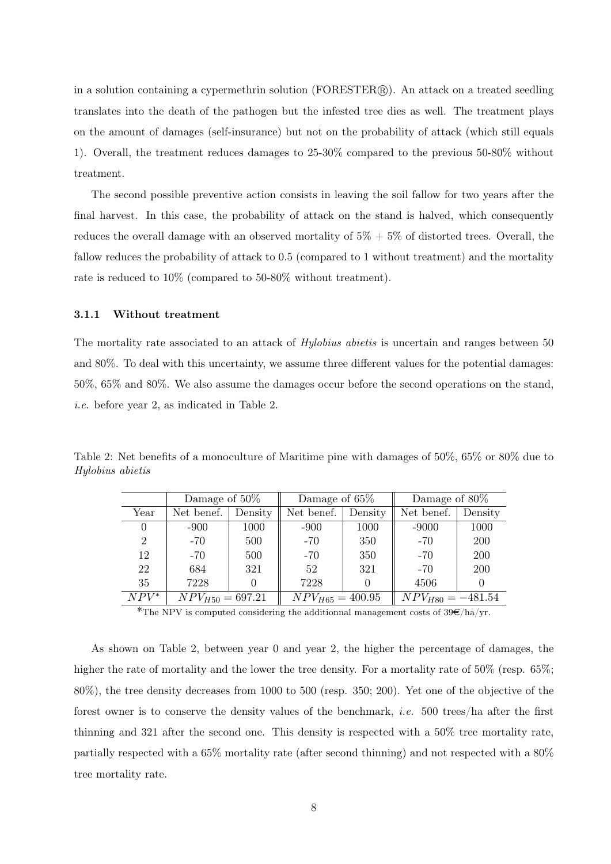in a solution containing a cypermethrin solution  $(FORESTER)$ . An attack on a treated seedling translates into the death of the pathogen but the infested tree dies as well. The treatment plays on the amount of damages (self-insurance) but not on the probability of attack (which still equals 1). Overall, the treatment reduces damages to 25-30% compared to the previous 50-80% without treatment.

The second possible preventive action consists in leaving the soil fallow for two years after the final harvest. In this case, the probability of attack on the stand is halved, which consequently reduces the overall damage with an observed mortality of  $5\% + 5\%$  of distorted trees. Overall, the fallow reduces the probability of attack to 0.5 (compared to 1 without treatment) and the mortality rate is reduced to 10% (compared to 50-80% without treatment).

#### 3.1.1 Without treatment

The mortality rate associated to an attack of *Hylobius abietis* is uncertain and ranges between 50 and 80%. To deal with this uncertainty, we assume three different values for the potential damages: 50%, 65% and 80%. We also assume the damages occur before the second operations on the stand, i.e. before year 2, as indicated in Table 2.

Table 2: Net benefits of a monoculture of Maritime pine with damages of 50%, 65% or 80% due to Hylobius abietis

|          | Damage of 50\%       |         | Damage of 65\%       |         | Damage of 80\%        |            |
|----------|----------------------|---------|----------------------|---------|-----------------------|------------|
| Year     | Net benef.           | Density | Net benef.           | Density | Net benef.            | Density    |
| $\theta$ | $-900$               | 1000    | $-900$               | 1000    | $-9000$               | 1000       |
| 2        | $-70$                | 500     | $-70$                | 350     | $-70$                 | 200        |
| 12       | $-70$                | 500     | $-70$                | 350     | $-70$                 | <b>200</b> |
| 22       | 684                  | 321     | 52                   | 321     | $-70$                 | 200        |
| 35       | 7228                 |         | 7228                 |         | 4506                  | 0          |
| $NPV^*$  | $NPV_{H50} = 697.21$ |         | $NPV_{H65} = 400.95$ |         | $NPV_{H80} = -481.54$ |            |

\*The NPV is computed considering the additionnal management costs of  $39\epsilon/ha/yr$ .

As shown on Table 2, between year 0 and year 2, the higher the percentage of damages, the higher the rate of mortality and the lower the tree density. For a mortality rate of 50% (resp. 65%; 80%), the tree density decreases from 1000 to 500 (resp. 350; 200). Yet one of the objective of the forest owner is to conserve the density values of the benchmark, i.e. 500 trees/ha after the first thinning and 321 after the second one. This density is respected with a 50% tree mortality rate, partially respected with a 65% mortality rate (after second thinning) and not respected with a 80% tree mortality rate.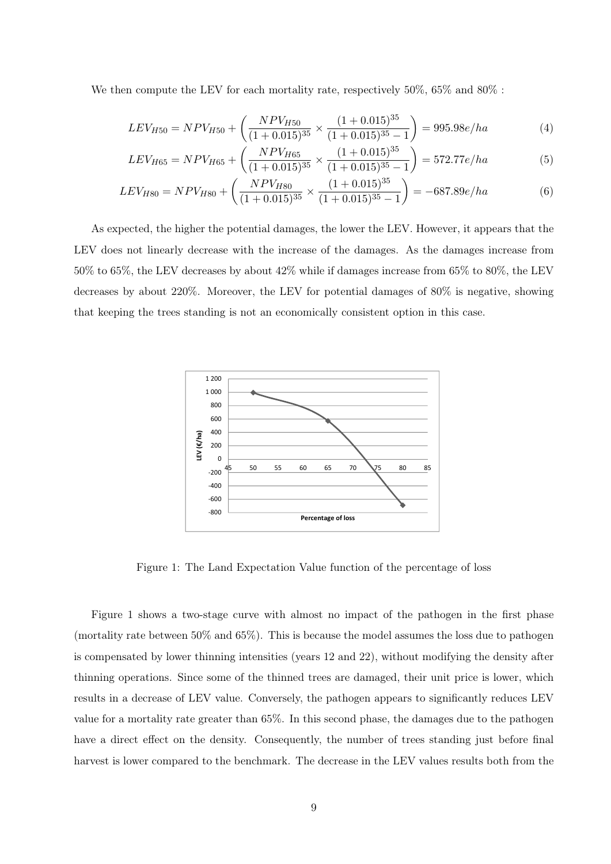We then compute the LEV for each mortality rate, respectively 50\%, 65\% and 80\% :

$$
LEV_{H50} = NPV_{H50} + \left(\frac{NPV_{H50}}{(1+0.015)^{35}} \times \frac{(1+0.015)^{35}}{(1+0.015)^{35}-1}\right) = 995.98e/ha
$$
 (4)

$$
LEV_{H65} = NPV_{H65} + \left(\frac{NPV_{H65}}{(1 + 0.015)^{35}} \times \frac{(1 + 0.015)^{35}}{(1 + 0.015)^{35} - 1}\right) = 572.77e/ha
$$
 (5)

$$
LEV_{H80} = NPV_{H80} + \left(\frac{NPV_{H80}}{(1 + 0.015)^{35}} \times \frac{(1 + 0.015)^{35}}{(1 + 0.015)^{35} - 1}\right) = -687.89e/ha
$$
 (6)

As expected, the higher the potential damages, the lower the LEV. However, it appears that the LEV does not linearly decrease with the increase of the damages. As the damages increase from 50% to 65%, the LEV decreases by about 42% while if damages increase from 65% to 80%, the LEV decreases by about 220%. Moreover, the LEV for potential damages of 80% is negative, showing that keeping the trees standing is not an economically consistent option in this case.



Figure 1: The Land Expectation Value function of the percentage of loss

Figure 1 shows a two-stage curve with almost no impact of the pathogen in the first phase (mortality rate between 50% and 65%). This is because the model assumes the loss due to pathogen is compensated by lower thinning intensities (years 12 and 22), without modifying the density after thinning operations. Since some of the thinned trees are damaged, their unit price is lower, which results in a decrease of LEV value. Conversely, the pathogen appears to significantly reduces LEV value for a mortality rate greater than 65%. In this second phase, the damages due to the pathogen have a direct effect on the density. Consequently, the number of trees standing just before final harvest is lower compared to the benchmark. The decrease in the LEV values results both from the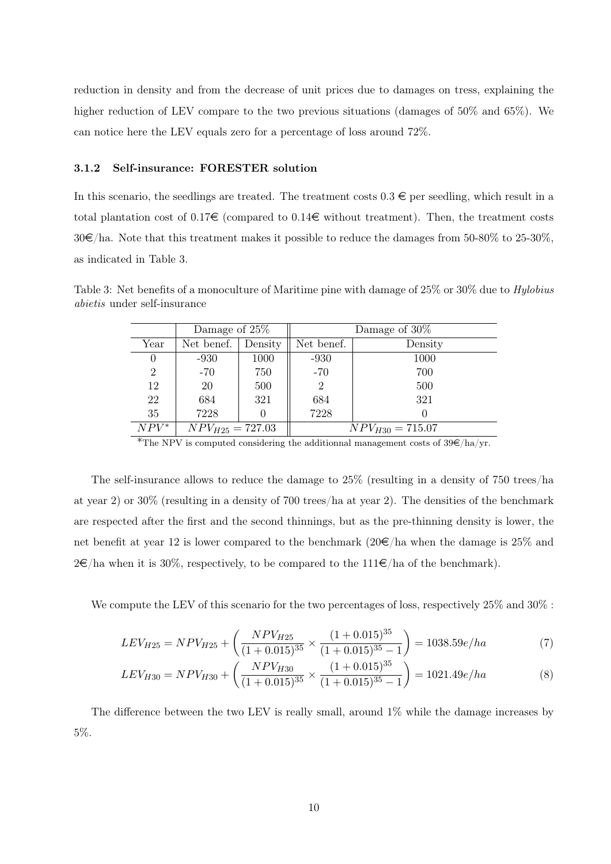reduction in density and from the decrease of unit prices due to damages on tress, explaining the higher reduction of LEV compare to the two previous situations (damages of 50% and 65%). We can notice here the LEV equals zero for a percentage of loss around 72%.

#### 3.1.2 Self-insurance: FORESTER solution

In this scenario, the seedlings are treated. The treatment costs  $0.3 \in$  per seedling, which result in a total plantation cost of  $0.17\epsilon$  (compared to  $0.14\epsilon$  without treatment). Then, the treatment costs  $30\epsilon$ /ha. Note that this treatment makes it possible to reduce the damages from 50-80% to 25-30%. as indicated in Table 3.

Table 3: Net benefits of a monoculture of Maritime pine with damage of 25% or 30% due to *Hylobius* abietis under self-insurance

|         | Damage of 25\%       |         | Damage of $30\%$ |                      |  |
|---------|----------------------|---------|------------------|----------------------|--|
| Year    | Net benef.           | Density | Net benef.       | Density              |  |
|         | $-930$               | 1000    | $-930$           | 1000                 |  |
| 2       | $-70$                | 750     | $-70$            | 700                  |  |
| 12      | 20                   | 500     |                  | 500                  |  |
| 22      | 684                  | 321     | 684              | 321                  |  |
| 35      | 7228                 |         | 7228             |                      |  |
| $NPV^*$ | $NPV_{H25} = 727.03$ |         |                  | $NPV_{H30} = 715.07$ |  |

\*The NPV is computed considering the additionnal management costs of  $39 \in /ha/yr$ .

The self-insurance allows to reduce the damage to 25% (resulting in a density of 750 trees/ha at year 2) or 30% (resulting in a density of 700 trees/ha at year 2). The densities of the benchmark are respected after the first and the second thinnings, but as the pre-thinning density is lower, the net benefit at year 12 is lower compared to the benchmark  $(20\epsilon/\text{ha}$  when the damage is 25% and  $2 \in \mathbb{R}$  a when it is 30%, respectively, to be compared to the 111 $\in \mathbb{R}$  and of the benchmark).

We compute the LEV of this scenario for the two percentages of loss, respectively 25\% and 30\% :

$$
LEV_{H25} = NPV_{H25} + \left(\frac{NPV_{H25}}{(1+0.015)^{35}} \times \frac{(1+0.015)^{35}}{(1+0.015)^{35}-1}\right) = 1038.59e/ha
$$
 (7)

$$
LEV_{H30} = NPV_{H30} + \left(\frac{NPV_{H30}}{(1+0.015)^{35}} \times \frac{(1+0.015)^{35}}{(1+0.015)^{35}-1}\right) = 1021.49e/ha
$$
 (8)

The difference between the two LEV is really small, around 1% while the damage increases by 5%.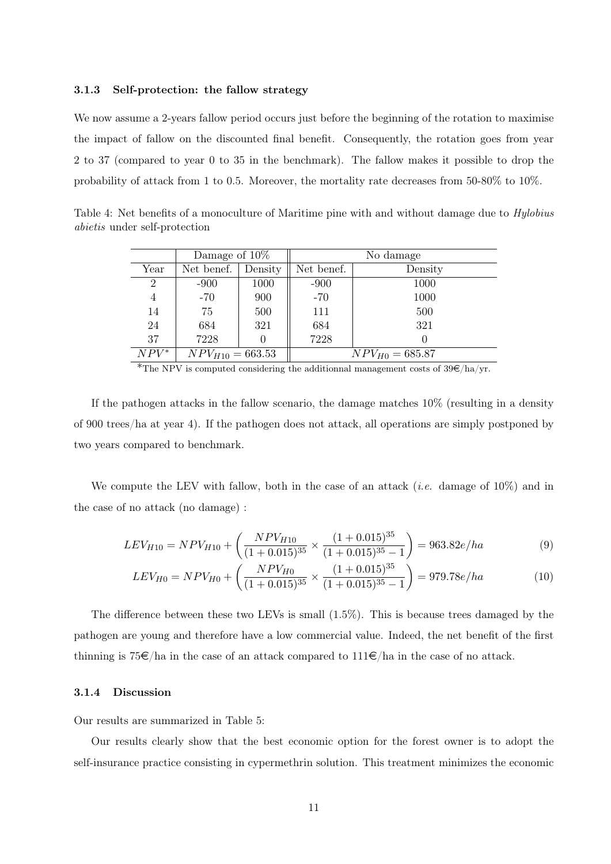#### 3.1.3 Self-protection: the fallow strategy

We now assume a 2-years fallow period occurs just before the beginning of the rotation to maximise the impact of fallow on the discounted final benefit. Consequently, the rotation goes from year 2 to 37 (compared to year 0 to 35 in the benchmark). The fallow makes it possible to drop the probability of attack from 1 to 0.5. Moreover, the mortality rate decreases from 50-80% to 10%.

Table 4: Net benefits of a monoculture of Maritime pine with and without damage due to Hylobius abietis under self-protection

|                |                      | Damage of $10\%$ |            | No damage           |  |  |  |
|----------------|----------------------|------------------|------------|---------------------|--|--|--|
| Year           | Net benef.           | Density          | Net benef. | Density             |  |  |  |
| $\overline{2}$ | $-900$               | 1000             | $-900$     | 1000                |  |  |  |
| 4              | $-70$                | 900              | $-70$      | 1000                |  |  |  |
| 14             | 75                   | 500              | 111        | 500                 |  |  |  |
| 24             | 684                  | 321              | 684        | 321                 |  |  |  |
| 37             | 7228                 |                  | 7228       |                     |  |  |  |
| $NPV^*$        | $NPV_{H10} = 663.53$ |                  |            | $NPV_{H0} = 685.87$ |  |  |  |

<sup>\*</sup>The NPV is computed considering the additionnal management costs of  $39 \in /ha/yr$ .

If the pathogen attacks in the fallow scenario, the damage matches 10% (resulting in a density of 900 trees/ha at year 4). If the pathogen does not attack, all operations are simply postponed by two years compared to benchmark.

We compute the LEV with fallow, both in the case of an attack (*i.e.* damage of  $10\%$ ) and in the case of no attack (no damage) :

$$
LEV_{H10} = NPV_{H10} + \left(\frac{NPV_{H10}}{(1 + 0.015)^{35}} \times \frac{(1 + 0.015)^{35}}{(1 + 0.015)^{35} - 1}\right) = 963.82e/ha
$$
\n(9)

$$
LEV_{H0} = NPV_{H0} + \left(\frac{NPV_{H0}}{(1 + 0.015)^{35}} \times \frac{(1 + 0.015)^{35}}{(1 + 0.015)^{35} - 1}\right) = 979.78e/ha
$$
 (10)

The difference between these two LEVs is small (1.5%). This is because trees damaged by the pathogen are young and therefore have a low commercial value. Indeed, the net benefit of the first thinning is 75 $\epsilon$ /ha in the case of an attack compared to 111 $\epsilon$ /ha in the case of no attack.

#### 3.1.4 Discussion

Our results are summarized in Table 5:

Our results clearly show that the best economic option for the forest owner is to adopt the self-insurance practice consisting in cypermethrin solution. This treatment minimizes the economic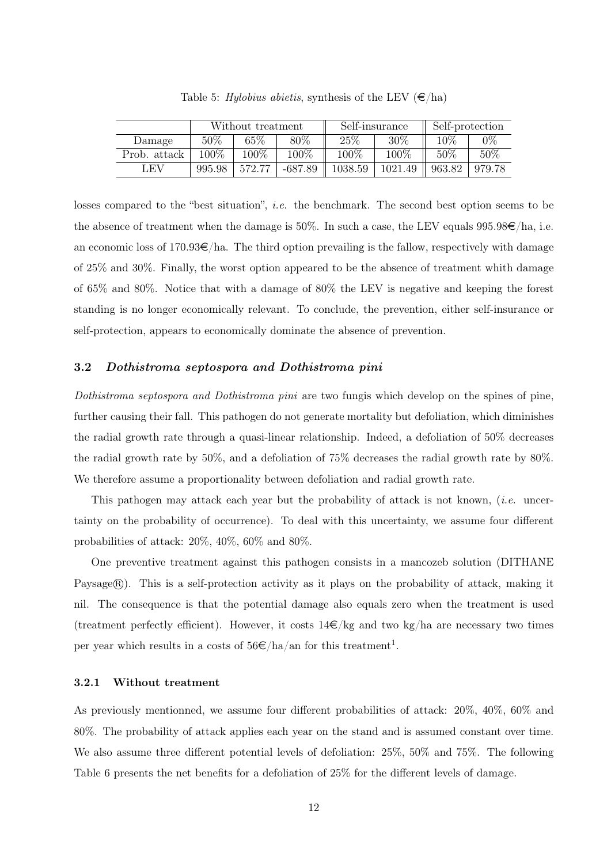|              | Without treatment |        |         |         | Self-insurance | Self-protection |        |
|--------------|-------------------|--------|---------|---------|----------------|-----------------|--------|
| Damage       | $50\%$            | 65%    | $80\%$  | 25\%    | 30%            | $10\%$          | $0\%$  |
| Prob. attack | 100\%             | 100%   | 100%    | 100\%   | 100\%          | 50%             | 50%    |
| LEV          | 995.98            | 572.77 | -687.89 | 1038.59 | 1021.49        | 963.82          | 979.78 |

Table 5: Hylobius abietis, synthesis of the LEV  $(\epsilon/\text{ha})$ 

losses compared to the "best situation", *i.e.* the benchmark. The second best option seems to be the absence of treatment when the damage is 50%. In such a case, the LEV equals  $995.98\epsilon/ha$ , i.e. an economic loss of  $170.93 \in \text{/ha}$ . The third option prevailing is the fallow, respectively with damage of 25% and 30%. Finally, the worst option appeared to be the absence of treatment whith damage of 65% and 80%. Notice that with a damage of 80% the LEV is negative and keeping the forest standing is no longer economically relevant. To conclude, the prevention, either self-insurance or self-protection, appears to economically dominate the absence of prevention.

#### 3.2 Dothistroma septospora and Dothistroma pini

Dothistroma septospora and Dothistroma pini are two fungis which develop on the spines of pine, further causing their fall. This pathogen do not generate mortality but defoliation, which diminishes the radial growth rate through a quasi-linear relationship. Indeed, a defoliation of 50% decreases the radial growth rate by 50%, and a defoliation of 75% decreases the radial growth rate by 80%. We therefore assume a proportionality between defoliation and radial growth rate.

This pathogen may attack each year but the probability of attack is not known, *(i.e.* uncertainty on the probability of occurrence). To deal with this uncertainty, we assume four different probabilities of attack: 20%, 40%, 60% and 80%.

One preventive treatment against this pathogen consists in a mancozeb solution (DITHANE Paysage (R). This is a self-protection activity as it plays on the probability of attack, making it nil. The consequence is that the potential damage also equals zero when the treatment is used (treatment perfectly efficient). However, it costs  $14\epsilon/kg$  and two kg/ha are necessary two times per year which results in a costs of  $56 \in /ha/an$  for this treatment<sup>1</sup>.

#### 3.2.1 Without treatment

As previously mentionned, we assume four different probabilities of attack: 20%, 40%, 60% and 80%. The probability of attack applies each year on the stand and is assumed constant over time. We also assume three different potential levels of defoliation: 25%, 50% and 75%. The following Table 6 presents the net benefits for a defoliation of 25% for the different levels of damage.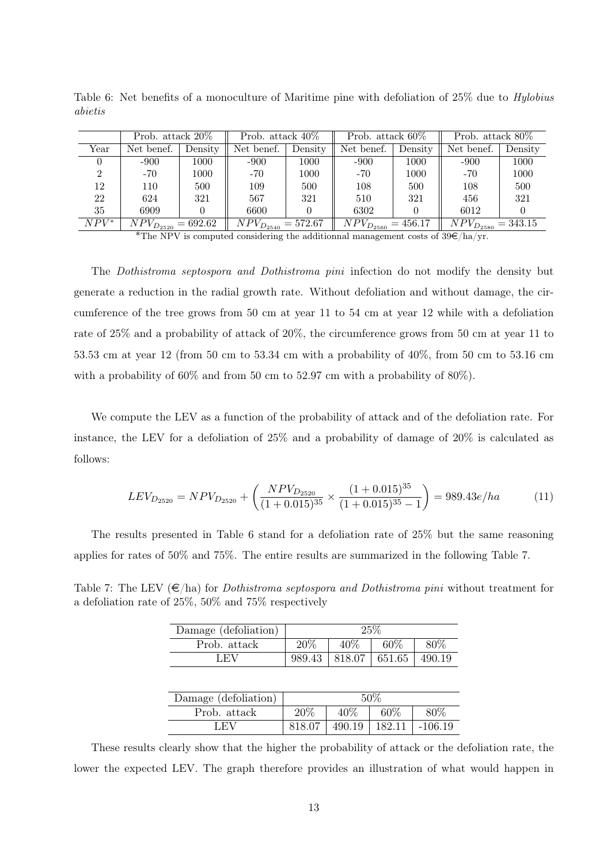|         | Prob. attack 20\%         |         | Prob. attack $40\%$       |         | Prob. attack $60\%$       |         | Prob. attack 80\%         |         |
|---------|---------------------------|---------|---------------------------|---------|---------------------------|---------|---------------------------|---------|
| Year    | Net benef.                | Density | Net benef.                | Density | Net benef.                | Density | Net benef.                | Density |
|         | $-900$                    | 1000    | $-900$                    | 1000    | $-900$                    | 1000    | $-900$                    | 1000    |
| 2       | -70                       | 1000    | -70                       | 1000    | -70                       | 1000    | -70                       | 1000    |
| 12      | 110                       | 500     | 109                       | 500     | 108                       | 500     | 108                       | 500     |
| 22      | 624                       | 321     | 567                       | 321     | 510                       | 321     | 456                       | 321     |
| 35      | 6909                      |         | 6600                      |         | 6302                      |         | 6012                      |         |
| $NPV^*$ | $NPV_{D_{2520}} = 692.62$ |         | $NPV_{D_{2540}} = 572.67$ |         | $NPV_{D_{2560}} = 456.17$ |         | $NPV_{D_{2580}} = 343.15$ |         |

Table 6: Net benefits of a monoculture of Maritime pine with defoliation of 25% due to *Hylobius* abietis

\*The NPV is computed considering the additionnal management costs of  $39\epsilon/ha/vr$ .

The Dothistroma septospora and Dothistroma pini infection do not modify the density but generate a reduction in the radial growth rate. Without defoliation and without damage, the circumference of the tree grows from 50 cm at year 11 to 54 cm at year 12 while with a defoliation rate of 25% and a probability of attack of 20%, the circumference grows from 50 cm at year 11 to 53.53 cm at year 12 (from 50 cm to 53.34 cm with a probability of 40%, from 50 cm to 53.16 cm with a probability of  $60\%$  and from 50 cm to 52.97 cm with a probability of  $80\%$ ).

We compute the LEV as a function of the probability of attack and of the defoliation rate. For instance, the LEV for a defoliation of 25% and a probability of damage of 20% is calculated as follows:

$$
LEV_{D_{2520}} = NPV_{D_{2520}} + \left(\frac{NPV_{D_{2520}}}{(1+0.015)^{35}} \times \frac{(1+0.015)^{35}}{(1+0.015)^{35}-1}\right) = 989.43e/ha
$$
 (11)

The results presented in Table 6 stand for a defoliation rate of 25% but the same reasoning applies for rates of 50% and 75%. The entire results are summarized in the following Table 7.

Table 7: The LEV  $(\epsilon/ha)$  for *Dothistroma septospora and Dothistroma pini* without treatment for a defoliation rate of 25%, 50% and 75% respectively

| Damage (defoliation) |     | 25%                                 |     |      |
|----------------------|-----|-------------------------------------|-----|------|
| Prob. attack         | 20% | 40\%                                | 60% | 80\% |
| + EV                 |     | $989.43$   818.07   651.65   490.19 |     |      |

| Damage (defoliation) |        |        | 50%    |           |
|----------------------|--------|--------|--------|-----------|
| Prob. attack         | 20\%   | 40%    | 60%    | 80\%      |
| LEV                  | 818.07 | 490.19 | 182.11 | $-106.19$ |

These results clearly show that the higher the probability of attack or the defoliation rate, the lower the expected LEV. The graph therefore provides an illustration of what would happen in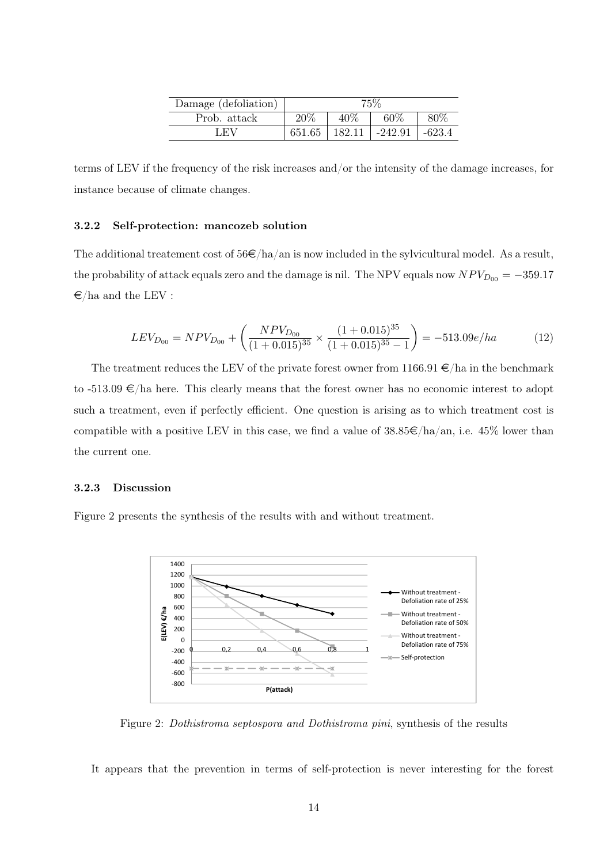| Damage (defoliation) | 75\%   |        |         |        |
|----------------------|--------|--------|---------|--------|
| Prob. attack         | 20%    | 40\%   | 60%     | 80\%   |
| – ∟.EV –             | 651.65 | 182.11 | -242.91 | -623.4 |

terms of LEV if the frequency of the risk increases and/or the intensity of the damage increases, for instance because of climate changes.

#### 3.2.2 Self-protection: mancozeb solution

The additional treatement cost of  $56 \in /ha/an$  is now included in the sylvicultural model. As a result, the probability of attack equals zero and the damage is nil. The NPV equals now  $NPV_{D_{00}} = -359.17$  $\epsilon$ /ha and the LEV :

$$
LEV_{D_{00}} = NPV_{D_{00}} + \left(\frac{NPV_{D_{00}}}{(1+0.015)^{35}} \times \frac{(1+0.015)^{35}}{(1+0.015)^{35}-1}\right) = -513.09e/ha
$$
 (12)

The treatment reduces the LEV of the private forest owner from  $1166.91 \in \mathbb{R}$  in the benchmark to  $-513.09 \in$ /ha here. This clearly means that the forest owner has no economic interest to adopt such a treatment, even if perfectly efficient. One question is arising as to which treatment cost is compatible with a positive LEV in this case, we find a value of  $38.85 \in /ha/an$ , i.e.  $45\%$  lower than the current one.

#### 3.2.3 Discussion

Figure 2 presents the synthesis of the results with and without treatment.



Figure 2: Dothistroma septospora and Dothistroma pini, synthesis of the results

It appears that the prevention in terms of self-protection is never interesting for the forest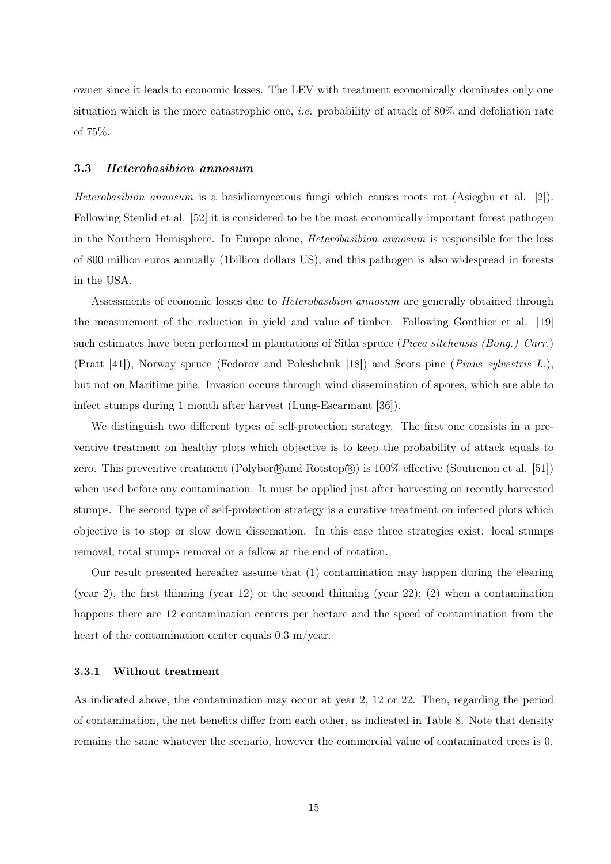owner since it leads to economic losses. The LEV with treatment economically dominates only one situation which is the more catastrophic one, *i.e.* probability of attack of  $80\%$  and defoliation rate of 75%.

#### 3.3 Heterobasibion annosum

Heterobasibion annosum is a basidiomycetous fungi which causes roots rot (Asiegbu et al. [2]). Following Stenlid et al. [52] it is considered to be the most economically important forest pathogen in the Northern Hemisphere. In Europe alone, Heterobasibion annosum is responsible for the loss of 800 million euros annually (1billion dollars US), and this pathogen is also widespread in forests in the USA.

Assessments of economic losses due to Heterobasibion annosum are generally obtained through the measurement of the reduction in yield and value of timber. Following Gonthier et al. [19] such estimates have been performed in plantations of Sitka spruce (*Picea sitchensis (Bong.) Carr.*) (Pratt [41]), Norway spruce (Fedorov and Poleshchuk [18]) and Scots pine (Pinus sylvestris L.), but not on Maritime pine. Invasion occurs through wind dissemination of spores, which are able to infect stumps during 1 month after harvest (Lung-Escarmant [36]).

We distinguish two different types of self-protection strategy. The first one consists in a preventive treatment on healthy plots which objective is to keep the probability of attack equals to zero. This preventive treatment (Polybor $\left(\mathbb{R}\right)$  and Rotstop $\left(\mathbb{R}\right)$ ) is 100% effective (Soutrenon et al. [51]) when used before any contamination. It must be applied just after harvesting on recently harvested stumps. The second type of self-protection strategy is a curative treatment on infected plots which objective is to stop or slow down dissemation. In this case three strategies exist: local stumps removal, total stumps removal or a fallow at the end of rotation.

Our result presented hereafter assume that (1) contamination may happen during the clearing (year 2), the first thinning (year 12) or the second thinning (year 22); (2) when a contamination happens there are 12 contamination centers per hectare and the speed of contamination from the heart of the contamination center equals  $0.3$  m/year.

#### 3.3.1 Without treatment

As indicated above, the contamination may occur at year 2, 12 or 22. Then, regarding the period of contamination, the net benefits differ from each other, as indicated in Table 8. Note that density remains the same whatever the scenario, however the commercial value of contaminated trees is 0.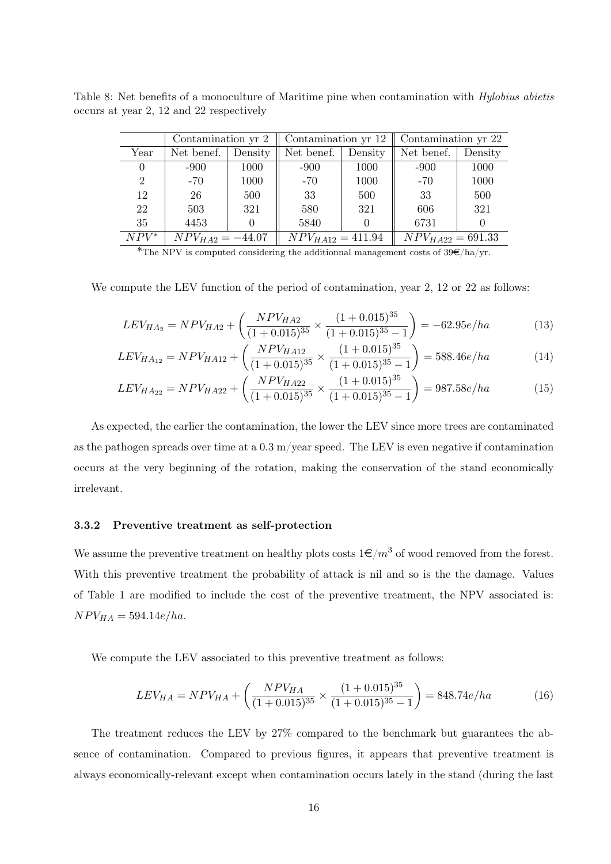|                | Contamination yr 2   |         | Contamination yr 12   |         | Contamination yr 22   |         |
|----------------|----------------------|---------|-----------------------|---------|-----------------------|---------|
| Year           | Net benef.           | Density | Net benef.            | Density | Net benef.            | Density |
|                | $-900$               | 1000    | $-900$                | 1000    | $-900$                | 1000    |
| $\overline{2}$ | $-70$                | 1000    | $-70$                 | 1000    | $-70$                 | 1000    |
| 12             | 26                   | 500     | 33                    | 500     | 33                    | 500     |
| 22             | 503                  | 321     | 580                   | 321     | 606                   | 321     |
| 35             | 4453                 |         | 5840                  |         | 6731                  |         |
| $NPV^*$        | $NPV_{HA2} = -44.07$ |         | $NPV_{HA12} = 411.94$ |         | $NPV_{HA22} = 691.33$ |         |

Table 8: Net benefits of a monoculture of Maritime pine when contamination with *Hylobius abietis* occurs at year 2, 12 and 22 respectively

\*The NPV is computed considering the additionnal management costs of  $39\epsilon/ha/yr$ .

We compute the LEV function of the period of contamination, year 2, 12 or 22 as follows:

$$
LEV_{HA_2} = NPV_{HA2} + \left(\frac{NPV_{HA2}}{(1 + 0.015)^{35}} \times \frac{(1 + 0.015)^{35}}{(1 + 0.015)^{35} - 1}\right) = -62.95e/ha
$$
 (13)

$$
LEV_{HA_{12}} = NPV_{HA_{12}} + \left(\frac{NPV_{HA_{12}}}{(1+0.015)^{35}} \times \frac{(1+0.015)^{35}}{(1+0.015)^{35}-1}\right) = 588.46e/ha
$$
 (14)

$$
LEV_{HA_{22}} = NPV_{HA22} + \left(\frac{NPV_{HA22}}{(1+0.015)^{35}} \times \frac{(1+0.015)^{35}}{(1+0.015)^{35}-1}\right) = 987.58e/ha
$$
 (15)

As expected, the earlier the contamination, the lower the LEV since more trees are contaminated as the pathogen spreads over time at a  $0.3 \text{ m/year}$  speed. The LEV is even negative if contamination occurs at the very beginning of the rotation, making the conservation of the stand economically irrelevant.

#### 3.3.2 Preventive treatment as self-protection

We assume the preventive treatment on healthy plots costs  $1 \in /m^3$  of wood removed from the forest. With this preventive treatment the probability of attack is nil and so is the the damage. Values of Table 1 are modified to include the cost of the preventive treatment, the NPV associated is:  $NPV_{HA} = 594.14e/ha.$ 

We compute the LEV associated to this preventive treatment as follows:

$$
LEV_{HA} = NPV_{HA} + \left(\frac{NPV_{HA}}{(1 + 0.015)^{35}} \times \frac{(1 + 0.015)^{35}}{(1 + 0.015)^{35} - 1}\right) = 848.74e/ha
$$
 (16)

The treatment reduces the LEV by 27% compared to the benchmark but guarantees the absence of contamination. Compared to previous figures, it appears that preventive treatment is always economically-relevant except when contamination occurs lately in the stand (during the last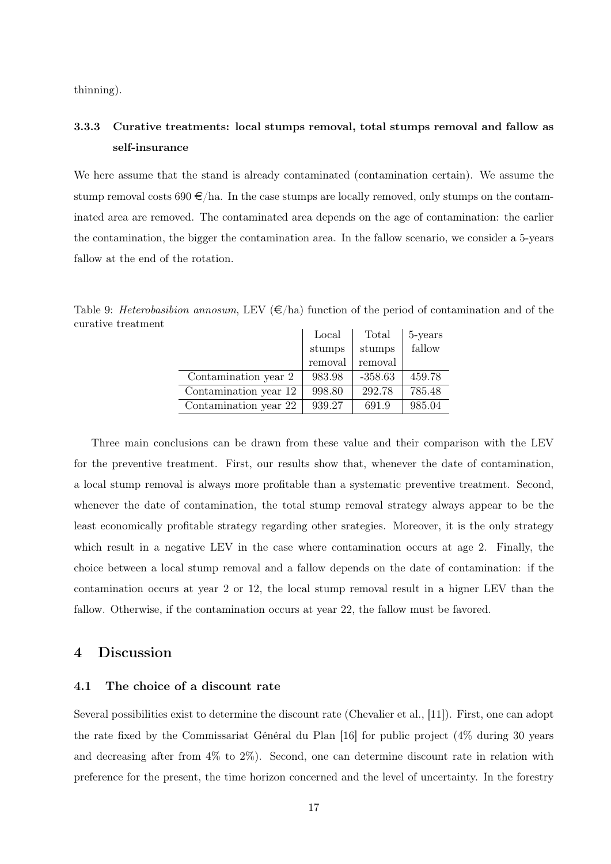thinning).

# 3.3.3 Curative treatments: local stumps removal, total stumps removal and fallow as self-insurance

We here assume that the stand is already contaminated (contamination certain). We assume the stump removal costs  $690 \in \text{/ha}$ . In the case stumps are locally removed, only stumps on the contaminated area are removed. The contaminated area depends on the age of contamination: the earlier the contamination, the bigger the contamination area. In the fallow scenario, we consider a 5-years fallow at the end of the rotation.

|                       | Local   | Total     | 5-years |
|-----------------------|---------|-----------|---------|
|                       | stumps  | stumps    | fallow  |
|                       | removal | removal   |         |
| Contamination year 2  | 983.98  | $-358.63$ | 459.78  |
| Contamination year 12 | 998.80  | 292.78    | 785.48  |
| Contamination year 22 | 939.27  | 691.9     | 985.04  |

Table 9: Heterobasibion annosum, LEV  $(\epsilon/\text{ha})$  function of the period of contamination and of the curative treatment

Three main conclusions can be drawn from these value and their comparison with the LEV for the preventive treatment. First, our results show that, whenever the date of contamination, a local stump removal is always more profitable than a systematic preventive treatment. Second, whenever the date of contamination, the total stump removal strategy always appear to be the least economically profitable strategy regarding other srategies. Moreover, it is the only strategy which result in a negative LEV in the case where contamination occurs at age 2. Finally, the choice between a local stump removal and a fallow depends on the date of contamination: if the contamination occurs at year 2 or 12, the local stump removal result in a higner LEV than the fallow. Otherwise, if the contamination occurs at year 22, the fallow must be favored.

### 4 Discussion

#### 4.1 The choice of a discount rate

Several possibilities exist to determine the discount rate (Chevalier et al., [11]). First, one can adopt the rate fixed by the Commissariat Général du Plan [16] for public project (4% during 30 years and decreasing after from 4% to 2%). Second, one can determine discount rate in relation with preference for the present, the time horizon concerned and the level of uncertainty. In the forestry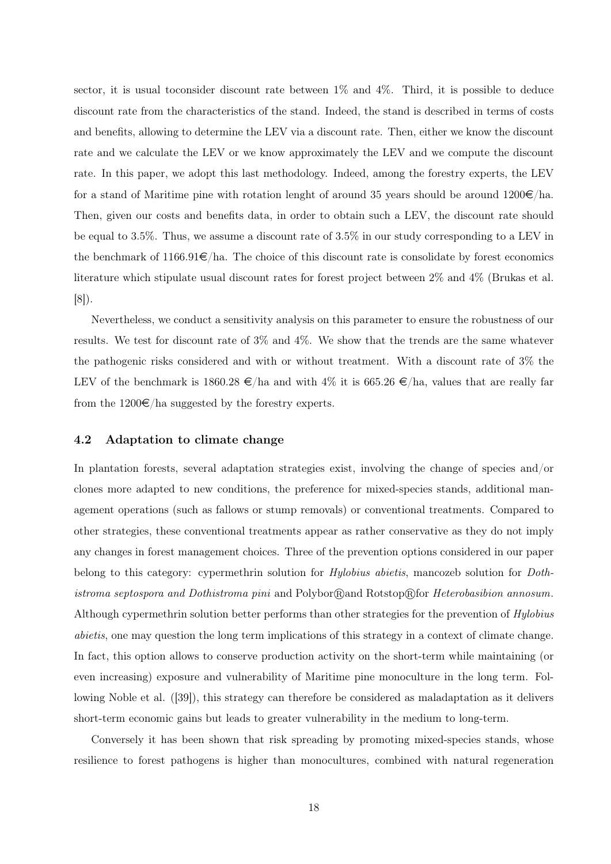sector, it is usual toconsider discount rate between 1% and 4%. Third, it is possible to deduce discount rate from the characteristics of the stand. Indeed, the stand is described in terms of costs and benefits, allowing to determine the LEV via a discount rate. Then, either we know the discount rate and we calculate the LEV or we know approximately the LEV and we compute the discount rate. In this paper, we adopt this last methodology. Indeed, among the forestry experts, the LEV for a stand of Maritime pine with rotation lenght of around 35 years should be around  $1200 \epsilon / \text{ha}$ . Then, given our costs and benefits data, in order to obtain such a LEV, the discount rate should be equal to 3.5%. Thus, we assume a discount rate of 3.5% in our study corresponding to a LEV in the benchmark of  $1166.91 \in \text{/ha}$ . The choice of this discount rate is consolidate by forest economics literature which stipulate usual discount rates for forest project between 2% and 4% (Brukas et al. [8]).

Nevertheless, we conduct a sensitivity analysis on this parameter to ensure the robustness of our results. We test for discount rate of 3% and 4%. We show that the trends are the same whatever the pathogenic risks considered and with or without treatment. With a discount rate of 3% the LEV of the benchmark is 1860.28  $\epsilon$ /ha and with 4% it is 665.26  $\epsilon$ /ha, values that are really far from the  $1200 \in \text{/ha suggested by the forestry experts.}$ 

#### 4.2 Adaptation to climate change

In plantation forests, several adaptation strategies exist, involving the change of species and/or clones more adapted to new conditions, the preference for mixed-species stands, additional management operations (such as fallows or stump removals) or conventional treatments. Compared to other strategies, these conventional treatments appear as rather conservative as they do not imply any changes in forest management choices. Three of the prevention options considered in our paper belong to this category: cypermethrin solution for *Hylobius abietis*, mancozeb solution for *Doth*istroma septospora and Dothistroma pini and Polybor Rand Rotstop R for Heterobasibion annosum. Although cypermethrin solution better performs than other strategies for the prevention of Hylobius abietis, one may question the long term implications of this strategy in a context of climate change. In fact, this option allows to conserve production activity on the short-term while maintaining (or even increasing) exposure and vulnerability of Maritime pine monoculture in the long term. Following Noble et al. ([39]), this strategy can therefore be considered as maladaptation as it delivers short-term economic gains but leads to greater vulnerability in the medium to long-term.

Conversely it has been shown that risk spreading by promoting mixed-species stands, whose resilience to forest pathogens is higher than monocultures, combined with natural regeneration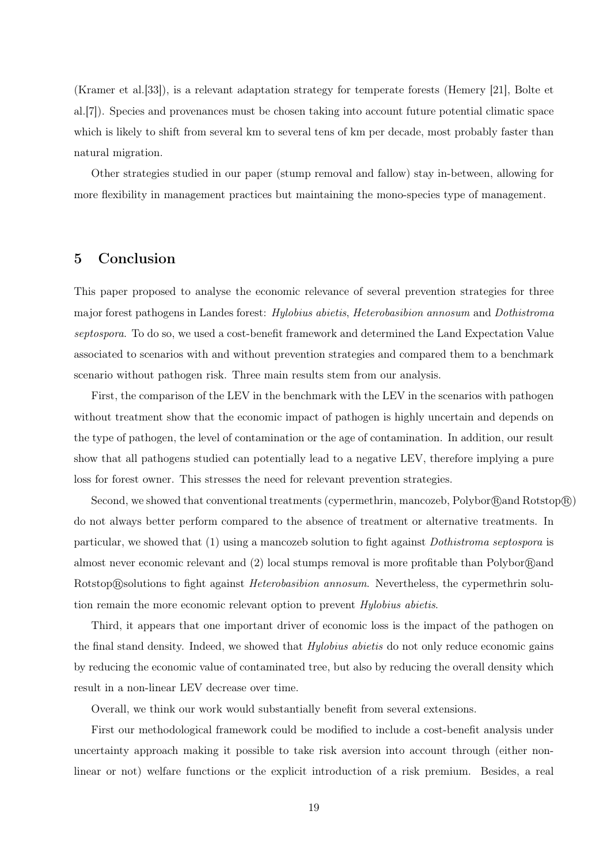(Kramer et al.[33]), is a relevant adaptation strategy for temperate forests (Hemery [21], Bolte et al.[7]). Species and provenances must be chosen taking into account future potential climatic space which is likely to shift from several km to several tens of km per decade, most probably faster than natural migration.

Other strategies studied in our paper (stump removal and fallow) stay in-between, allowing for more flexibility in management practices but maintaining the mono-species type of management.

# 5 Conclusion

This paper proposed to analyse the economic relevance of several prevention strategies for three major forest pathogens in Landes forest: Hylobius abietis, Heterobasibion annosum and Dothistroma septospora. To do so, we used a cost-benefit framework and determined the Land Expectation Value associated to scenarios with and without prevention strategies and compared them to a benchmark scenario without pathogen risk. Three main results stem from our analysis.

First, the comparison of the LEV in the benchmark with the LEV in the scenarios with pathogen without treatment show that the economic impact of pathogen is highly uncertain and depends on the type of pathogen, the level of contamination or the age of contamination. In addition, our result show that all pathogens studied can potentially lead to a negative LEV, therefore implying a pure loss for forest owner. This stresses the need for relevant prevention strategies.

Second, we showed that conventional treatments (cypermethrin, mancozeb, Polybor $\left(\mathbb{R}\right)$  Rotstop $\left(\mathbb{R}\right)$ ) do not always better perform compared to the absence of treatment or alternative treatments. In particular, we showed that (1) using a mancozeb solution to fight against Dothistroma septospora is almost never economic relevant and  $(2)$  local stumps removal is more profitable than Polybor  $\mathbb{R}$  and Rotstop®solutions to fight against *Heterobasibion annosum*. Nevertheless, the cypermethrin solution remain the more economic relevant option to prevent Hylobius abietis.

Third, it appears that one important driver of economic loss is the impact of the pathogen on the final stand density. Indeed, we showed that *Hylobius abietis* do not only reduce economic gains by reducing the economic value of contaminated tree, but also by reducing the overall density which result in a non-linear LEV decrease over time.

Overall, we think our work would substantially benefit from several extensions.

First our methodological framework could be modified to include a cost-benefit analysis under uncertainty approach making it possible to take risk aversion into account through (either nonlinear or not) welfare functions or the explicit introduction of a risk premium. Besides, a real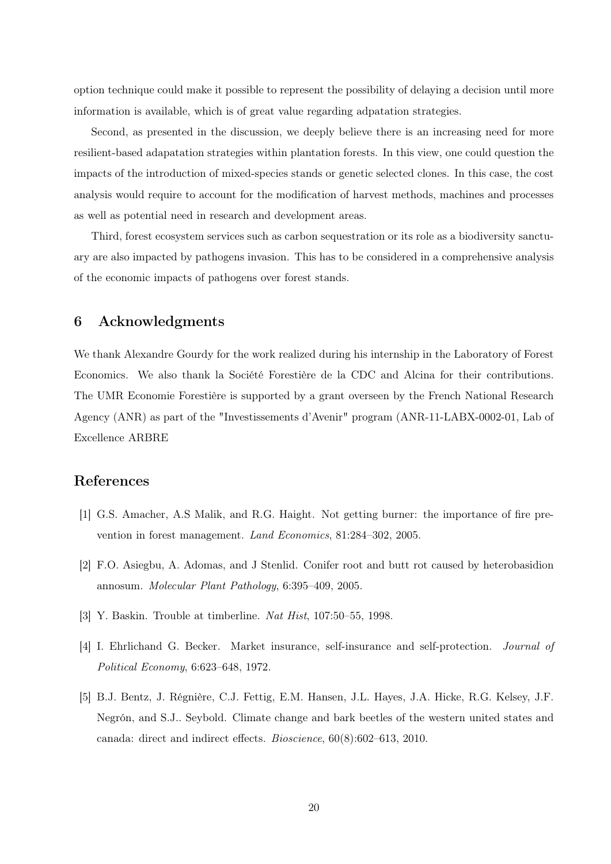option technique could make it possible to represent the possibility of delaying a decision until more information is available, which is of great value regarding adpatation strategies.

Second, as presented in the discussion, we deeply believe there is an increasing need for more resilient-based adapatation strategies within plantation forests. In this view, one could question the impacts of the introduction of mixed-species stands or genetic selected clones. In this case, the cost analysis would require to account for the modification of harvest methods, machines and processes as well as potential need in research and development areas.

Third, forest ecosystem services such as carbon sequestration or its role as a biodiversity sanctuary are also impacted by pathogens invasion. This has to be considered in a comprehensive analysis of the economic impacts of pathogens over forest stands.

# 6 Acknowledgments

We thank Alexandre Gourdy for the work realized during his internship in the Laboratory of Forest Economics. We also thank la Société Forestière de la CDC and Alcina for their contributions. The UMR Economie Forestière is supported by a grant overseen by the French National Research Agency (ANR) as part of the "Investissements d'Avenir" program (ANR-11-LABX-0002-01, Lab of Excellence ARBRE

### References

- [1] G.S. Amacher, A.S Malik, and R.G. Haight. Not getting burner: the importance of fire prevention in forest management. Land Economics, 81:284–302, 2005.
- [2] F.O. Asiegbu, A. Adomas, and J Stenlid. Conifer root and butt rot caused by heterobasidion annosum. Molecular Plant Pathology, 6:395–409, 2005.
- [3] Y. Baskin. Trouble at timberline. Nat Hist, 107:50–55, 1998.
- [4] I. Ehrlichand G. Becker. Market insurance, self-insurance and self-protection. Journal of Political Economy, 6:623–648, 1972.
- [5] B.J. Bentz, J. Régnière, C.J. Fettig, E.M. Hansen, J.L. Hayes, J.A. Hicke, R.G. Kelsey, J.F. Negrón, and S.J.. Seybold. Climate change and bark beetles of the western united states and canada: direct and indirect effects. Bioscience, 60(8):602–613, 2010.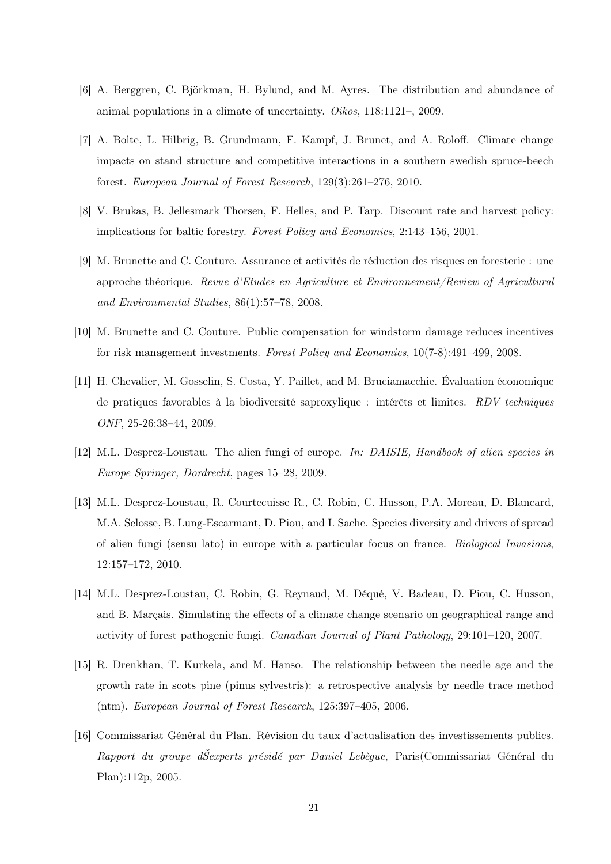- [6] A. Berggren, C. Björkman, H. Bylund, and M. Ayres. The distribution and abundance of animal populations in a climate of uncertainty. Oikos, 118:1121–, 2009.
- [7] A. Bolte, L. Hilbrig, B. Grundmann, F. Kampf, J. Brunet, and A. Roloff. Climate change impacts on stand structure and competitive interactions in a southern swedish spruce-beech forest. European Journal of Forest Research, 129(3):261–276, 2010.
- [8] V. Brukas, B. Jellesmark Thorsen, F. Helles, and P. Tarp. Discount rate and harvest policy: implications for baltic forestry. Forest Policy and Economics, 2:143–156, 2001.
- [9] M. Brunette and C. Couture. Assurance et activités de réduction des risques en foresterie : une approche théorique. Revue d'Etudes en Agriculture et Environnement/Review of Agricultural and Environmental Studies, 86(1):57–78, 2008.
- [10] M. Brunette and C. Couture. Public compensation for windstorm damage reduces incentives for risk management investments. Forest Policy and Economics, 10(7-8):491–499, 2008.
- [11] H. Chevalier, M. Gosselin, S. Costa, Y. Paillet, and M. Bruciamacchie. Évaluation économique de pratiques favorables à la biodiversité saproxylique : intérêts et limites. RDV techniques ONF, 25-26:38–44, 2009.
- [12] M.L. Desprez-Loustau. The alien fungi of europe. In: DAISIE, Handbook of alien species in Europe Springer, Dordrecht, pages 15–28, 2009.
- [13] M.L. Desprez-Loustau, R. Courtecuisse R., C. Robin, C. Husson, P.A. Moreau, D. Blancard, M.A. Selosse, B. Lung-Escarmant, D. Piou, and I. Sache. Species diversity and drivers of spread of alien fungi (sensu lato) in europe with a particular focus on france. Biological Invasions, 12:157–172, 2010.
- [14] M.L. Desprez-Loustau, C. Robin, G. Reynaud, M. Déqué, V. Badeau, D. Piou, C. Husson, and B. Marçais. Simulating the effects of a climate change scenario on geographical range and activity of forest pathogenic fungi. Canadian Journal of Plant Pathology, 29:101–120, 2007.
- [15] R. Drenkhan, T. Kurkela, and M. Hanso. The relationship between the needle age and the growth rate in scots pine (pinus sylvestris): a retrospective analysis by needle trace method (ntm). European Journal of Forest Research, 125:397–405, 2006.
- [16] Commissariat Général du Plan. Révision du taux d'actualisation des investissements publics. Rapport du groupe dŠexperts présidé par Daniel Lebègue, Paris(Commissariat Général du Plan):112p, 2005.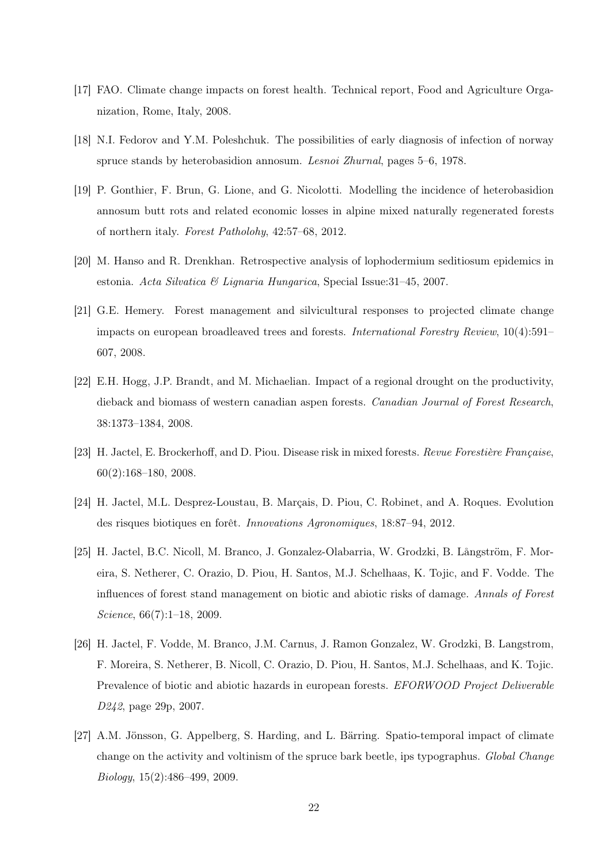- [17] FAO. Climate change impacts on forest health. Technical report, Food and Agriculture Organization, Rome, Italy, 2008.
- [18] N.I. Fedorov and Y.M. Poleshchuk. The possibilities of early diagnosis of infection of norway spruce stands by heterobasidion annosum. Lesnoi Zhurnal, pages 5–6, 1978.
- [19] P. Gonthier, F. Brun, G. Lione, and G. Nicolotti. Modelling the incidence of heterobasidion annosum butt rots and related economic losses in alpine mixed naturally regenerated forests of northern italy. Forest Patholohy, 42:57–68, 2012.
- [20] M. Hanso and R. Drenkhan. Retrospective analysis of lophodermium seditiosum epidemics in estonia. Acta Silvatica & Lignaria Hungarica, Special Issue:  $31-45$ , 2007.
- [21] G.E. Hemery. Forest management and silvicultural responses to projected climate change impacts on european broadleaved trees and forests. International Forestry Review, 10(4):591– 607, 2008.
- [22] E.H. Hogg, J.P. Brandt, and M. Michaelian. Impact of a regional drought on the productivity, dieback and biomass of western canadian aspen forests. Canadian Journal of Forest Research, 38:1373–1384, 2008.
- [23] H. Jactel, E. Brockerhoff, and D. Piou. Disease risk in mixed forests. Revue Forestière Française, 60(2):168–180, 2008.
- [24] H. Jactel, M.L. Desprez-Loustau, B. Marçais, D. Piou, C. Robinet, and A. Roques. Evolution des risques biotiques en forêt. Innovations Agronomiques, 18:87–94, 2012.
- [25] H. Jactel, B.C. Nicoll, M. Branco, J. Gonzalez-Olabarria, W. Grodzki, B. Långström, F. Moreira, S. Netherer, C. Orazio, D. Piou, H. Santos, M.J. Schelhaas, K. Tojic, and F. Vodde. The influences of forest stand management on biotic and abiotic risks of damage. Annals of Forest Science, 66(7):1–18, 2009.
- [26] H. Jactel, F. Vodde, M. Branco, J.M. Carnus, J. Ramon Gonzalez, W. Grodzki, B. Langstrom, F. Moreira, S. Netherer, B. Nicoll, C. Orazio, D. Piou, H. Santos, M.J. Schelhaas, and K. Tojic. Prevalence of biotic and abiotic hazards in european forests. EFORWOOD Project Deliverable D242, page 29p, 2007.
- [27] A.M. Jönsson, G. Appelberg, S. Harding, and L. Bärring. Spatio-temporal impact of climate change on the activity and voltinism of the spruce bark beetle, ips typographus. Global Change Biology, 15(2):486–499, 2009.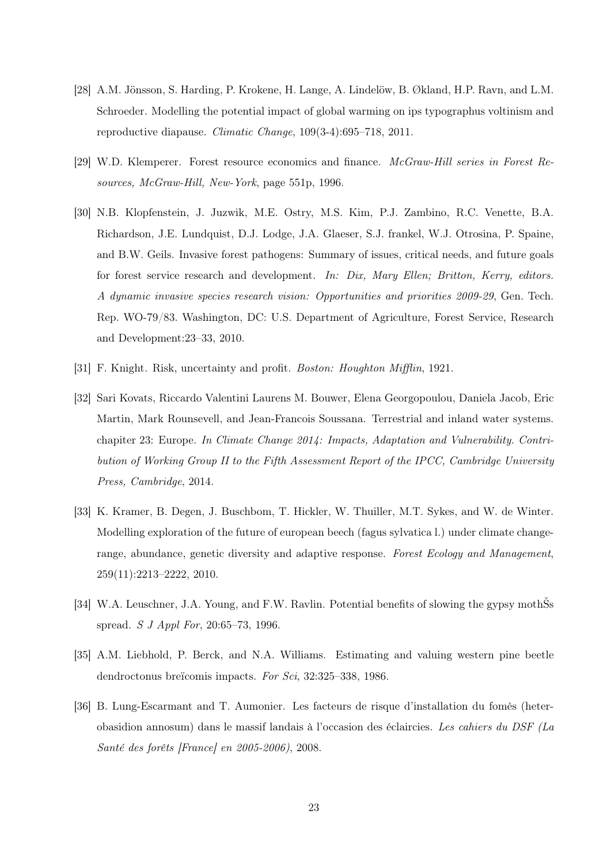- [28] A.M. Jönsson, S. Harding, P. Krokene, H. Lange, A. Lindelöw, B. Økland, H.P. Ravn, and L.M. Schroeder. Modelling the potential impact of global warming on ips typographus voltinism and reproductive diapause. Climatic Change, 109(3-4):695–718, 2011.
- [29] W.D. Klemperer. Forest resource economics and finance. McGraw-Hill series in Forest Resources, McGraw-Hill, New-York, page 551p, 1996.
- [30] N.B. Klopfenstein, J. Juzwik, M.E. Ostry, M.S. Kim, P.J. Zambino, R.C. Venette, B.A. Richardson, J.E. Lundquist, D.J. Lodge, J.A. Glaeser, S.J. frankel, W.J. Otrosina, P. Spaine, and B.W. Geils. Invasive forest pathogens: Summary of issues, critical needs, and future goals for forest service research and development. In: Dix, Mary Ellen; Britton, Kerry, editors. A dynamic invasive species research vision: Opportunities and priorities 2009-29, Gen. Tech. Rep. WO-79/83. Washington, DC: U.S. Department of Agriculture, Forest Service, Research and Development:23–33, 2010.
- [31] F. Knight. Risk, uncertainty and profit. Boston: Houghton Mifflin, 1921.
- [32] Sari Kovats, Riccardo Valentini Laurens M. Bouwer, Elena Georgopoulou, Daniela Jacob, Eric Martin, Mark Rounsevell, and Jean-Francois Soussana. Terrestrial and inland water systems. chapiter 23: Europe. In Climate Change 2014: Impacts, Adaptation and Vulnerability. Contribution of Working Group II to the Fifth Assessment Report of the IPCC, Cambridge University Press, Cambridge, 2014.
- [33] K. Kramer, B. Degen, J. Buschbom, T. Hickler, W. Thuiller, M.T. Sykes, and W. de Winter. Modelling exploration of the future of european beech (fagus sylvatica l.) under climate changerange, abundance, genetic diversity and adaptive response. Forest Ecology and Management, 259(11):2213–2222, 2010.
- [34] W.A. Leuschner, J.A. Young, and F.W. Ravlin. Potential benefits of slowing the gypsy mothSs spread. S J Appl For, 20:65–73, 1996.
- [35] A.M. Liebhold, P. Berck, and N.A. Williams. Estimating and valuing western pine beetle dendroctonus breïcomis impacts. For Sci, 32:325–338, 1986.
- [36] B. Lung-Escarmant and T. Aumonier. Les facteurs de risque d'installation du fomès (heterobasidion annosum) dans le massif landais à l'occasion des éclaircies. Les cahiers du DSF (La Santé des forêts [France] en 2005-2006), 2008.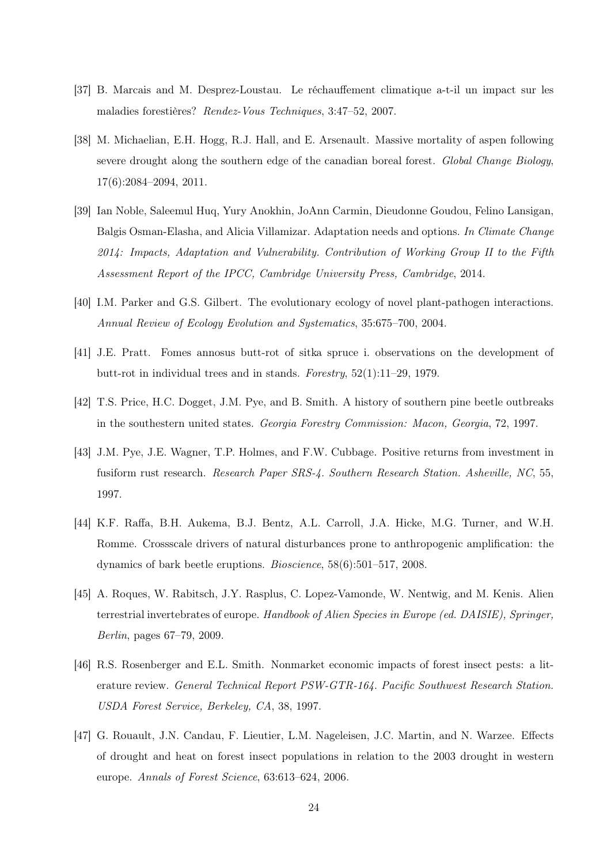- [37] B. Marcais and M. Desprez-Loustau. Le réchauffement climatique a-t-il un impact sur les maladies forestières? Rendez-Vous Techniques, 3:47–52, 2007.
- [38] M. Michaelian, E.H. Hogg, R.J. Hall, and E. Arsenault. Massive mortality of aspen following severe drought along the southern edge of the canadian boreal forest. Global Change Biology, 17(6):2084–2094, 2011.
- [39] Ian Noble, Saleemul Huq, Yury Anokhin, JoAnn Carmin, Dieudonne Goudou, Felino Lansigan, Balgis Osman-Elasha, and Alicia Villamizar. Adaptation needs and options. In Climate Change 2014: Impacts, Adaptation and Vulnerability. Contribution of Working Group II to the Fifth Assessment Report of the IPCC, Cambridge University Press, Cambridge, 2014.
- [40] I.M. Parker and G.S. Gilbert. The evolutionary ecology of novel plant-pathogen interactions. Annual Review of Ecology Evolution and Systematics, 35:675–700, 2004.
- [41] J.E. Pratt. Fomes annosus butt-rot of sitka spruce i. observations on the development of butt-rot in individual trees and in stands. Forestry, 52(1):11–29, 1979.
- [42] T.S. Price, H.C. Dogget, J.M. Pye, and B. Smith. A history of southern pine beetle outbreaks in the southestern united states. Georgia Forestry Commission: Macon, Georgia, 72, 1997.
- [43] J.M. Pye, J.E. Wagner, T.P. Holmes, and F.W. Cubbage. Positive returns from investment in fusiform rust research. Research Paper SRS-4. Southern Research Station. Asheville, NC, 55, 1997.
- [44] K.F. Raffa, B.H. Aukema, B.J. Bentz, A.L. Carroll, J.A. Hicke, M.G. Turner, and W.H. Romme. Crossscale drivers of natural disturbances prone to anthropogenic amplification: the dynamics of bark beetle eruptions. Bioscience, 58(6):501–517, 2008.
- [45] A. Roques, W. Rabitsch, J.Y. Rasplus, C. Lopez-Vamonde, W. Nentwig, and M. Kenis. Alien terrestrial invertebrates of europe. Handbook of Alien Species in Europe (ed. DAISIE), Springer, Berlin, pages 67–79, 2009.
- [46] R.S. Rosenberger and E.L. Smith. Nonmarket economic impacts of forest insect pests: a literature review. General Technical Report PSW-GTR-164. Pacific Southwest Research Station. USDA Forest Service, Berkeley, CA, 38, 1997.
- [47] G. Rouault, J.N. Candau, F. Lieutier, L.M. Nageleisen, J.C. Martin, and N. Warzee. Effects of drought and heat on forest insect populations in relation to the 2003 drought in western europe. Annals of Forest Science, 63:613–624, 2006.